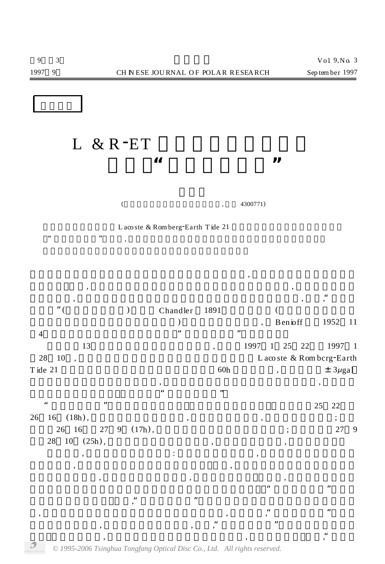L & R<sup>-</sup>ET **... 记录到"不明地学事件"**

 $($ ,  $4300771)$ 

 $\frac{1}{2}$ ,  $\frac{1}{2}$ ,  $\frac{1}{2}$ ,  $\frac{1}{2}$ ,  $\frac{1}{2}$ ,  $\frac{1}{2}$ ,  $\frac{1}{2}$ ,  $\frac{1}{2}$ ,  $\frac{1}{2}$ ,  $\frac{1}{2}$ ,  $\frac{1}{2}$ ,  $\frac{1}{2}$ ,  $\frac{1}{2}$ ,  $\frac{1}{2}$ ,  $\frac{1}{2}$ ,  $\frac{1}{2}$ ,  $\frac{1}{2}$ ,  $\frac{1}{2}$ ,  $\frac{1}{2}$ ,  $\frac{1}{2}$ ,

 $\overline{\phantom{a}}$ 性的原因。所以, 每当高精度重力仪的观测资料出现意料之外的异常时, 总会引起观测者

L aco ste & Rom berg<sup>-</sup>Earth T ide 21

 $\alpha$ ,  $\beta$ ,  $\beta$ ,  $\beta$ ,  $\beta$ ,  $\beta$ ,  $\beta$ ,  $\beta$ ,  $\beta$ ,  $\beta$ ,  $\beta$ ,  $\beta$ ,  $\beta$ ,  $\beta$ ,  $\beta$ ,  $\beta$ ,  $\beta$ ,  $\beta$ ,  $\beta$ ,  $\beta$ ,  $\beta$ ,  $\beta$ ,  $\beta$ ,  $\beta$ ,  $\beta$ ,  $\beta$ ,  $\beta$ ,  $\beta$ ,  $\beta$ ,  $\beta$ ,  $\beta$ ,  $\beta$ ,  $\beta$ ,  $\beta$ ,  $\beta$ ,  $\beta$ ,  $\beta$ , (a) Chandler 1891  $\sqrt{1952}$  11 4日的堪察加半岛的地震记录中辨认出"地球自由振荡"的蛛丝马迹。 13 13 1997 1 25 22 1997 1 28 10 ,  $28 \text{ Rom} \text{ b}$  ,  $28 \text{ Rom} \text{ b}$  ,  $28 \text{ Rom} \text{ b}$  ,  $28 \text{ Rom} \text{ b}$  ,  $28 \text{ mm} \text{ b}$  ,  $28 \text{ mm} \text{ b}$  ,  $28 \text{ mm} \text{ b}$  ,  $28 \text{ mm} \text{ b}$  ,  $28 \text{ mm} \text{ b}$  ,  $28 \text{ mm} \text{ b}$  ,  $28 \text{ mm} \text{ b}$  ,  $28 \text{ mm} \text{ b}$  ,  $28 \text{ mm} \$ T ide 21  $\qquad 60h \qquad , \qquad \qquad \pm 3\mu\text{gal}$  $\,$ ,  $\,$ ,  $\,$ ,  $\,$ ,  $\,$ ,  $\,$ ,  $\,$ ,  $\,$ ,  $\,$ ,  $\,$ ,  $\,$ ,  $\,$ ,  $\,$ ,  $\,$ ,  $\,$ ,  $\,$ ,  $\,$ ,  $\,$ ,  $\,$ ,  $\,$ ,  $\,$ ,  $\,$ ,  $\,$ ,  $\,$ ,  $\,$ ,  $\,$ ,  $\,$ ,  $\,$ ,  $\,$ ,  $\,$ ,  $\,$ ,  $\,$ ,  $\,$ ,  $\,$ ,  $\,$ ,  $\,$ ,  $\,$ ,  $\frac{1}{2}$  , and  $\frac{1}{2}$  , and  $\frac{1}{2}$  , and  $\frac{1}{2}$  , and  $\frac{1}{2}$  , and  $\frac{1}{2}$  , and  $\frac{1}{2}$  , and  $\frac{1}{2}$  , and  $\frac{1}{2}$  , and  $\frac{1}{2}$  , and  $\frac{1}{2}$  , and  $\frac{1}{2}$  , and  $\frac{1}{2}$  , and  $\frac{1}{2}$  , a  $\frac{1}{25}$  22  $\frac{1}{25}$  22  $26 \quad 16 \quad (18h), \quad \text{ } , \quad \text{ } , \quad \text{ } , \quad \text{ } ;$ 

, and the contract of the contract of the set of the contract of the contract of the contract of the contract of the contract of the contract of the contract of the contract of the contract of the contract of the contract , we are given by the contract of  $\alpha$  $46$  and the set of the set of the set of the set of the  $\frac{1}{2}$  set of the set of the set of the set of the set of the set of the set of the set of the set of the set of the set of the set of the set of the set of the  $\frac{1}{2}$ ,  $\frac{1}{2}$ ,  $\frac{1}{2}$ ,  $\frac{1}{2}$ ,  $\frac{1}{2}$ ,  $\frac{1}{2}$ ,  $\frac{1}{2}$ ,  $\frac{1}{2}$ ,  $\frac{1}{2}$ ,  $\frac{1}{2}$ ,  $\frac{1}{2}$ ,  $\frac{1}{2}$ ,  $\frac{1}{2}$ ,  $\frac{1}{2}$ ,  $\frac{1}{2}$ ,  $\frac{1}{2}$ ,  $\frac{1}{2}$ ,  $\frac{1}{2}$ ,  $\frac{1}{2}$ ,  $\frac{1}{2}$ , , and the set of the set of the set of the set of the set of the set of the set of the set of the set of the set of the set of the set of the set of the set of the set of the set of the set of the set of the set of the se  $\alpha$ ,  $\alpha$ ,  $\beta$ ,  $\beta$ ,  $\beta$ ,  $\beta$ ,  $\beta$ ,  $\beta$ ,  $\beta$ ,  $\beta$ ,  $\beta$ ,  $\beta$ ,  $\beta$ ,  $\beta$ ,  $\beta$ ,  $\beta$ ,  $\beta$ ,  $\beta$ ,  $\beta$ ,  $\beta$ ,  $\beta$ ,  $\beta$ ,  $\beta$ ,  $\beta$ ,  $\beta$ ,  $\beta$ ,  $\beta$ ,  $\beta$ ,  $\beta$ ,  $\beta$ ,  $\beta$ ,  $\beta$ ,  $\beta$ ,  $\beta$ ,  $\beta$ ,  $\beta$ ,  $\beta$ ,  $\alpha$ ,  $\alpha$ ,  $\beta$ ,  $\beta$ ,  $\beta$ ,  $\beta$ ,  $\beta$ ,  $\beta$ ,  $\beta$ ,  $\beta$ ,  $\beta$ ,  $\beta$ ,  $\beta$ ,  $\beta$ ,  $\beta$ ,  $\beta$ ,  $\beta$ ,  $\beta$ ,  $\beta$ ,  $\beta$ ,  $\beta$ ,  $\beta$ ,  $\beta$ ,  $\alpha$ ,  $\beta$ ,  $\beta$ ,  $\alpha$ ,  $\beta$ ,  $\alpha$ ,  $\beta$ ,  $\alpha$ ,  $\alpha$ ,  $\beta$ ,  $\alpha$ ,  $\alpha$ ,  $\alpha$ ,  $\alpha$ ,

26 16 27 9 (17h), 3 37 9  $28 \quad 10 \quad (25h)$ ,  $\,$ ,  $\,$